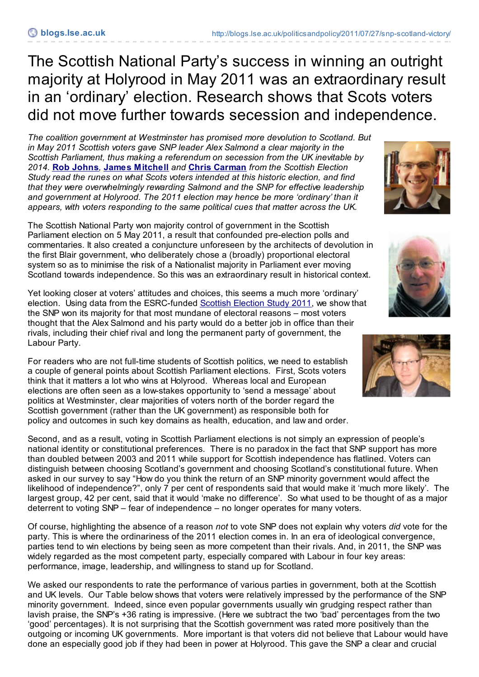The Scottish National Party's success in winning an outright majority at Holyrood in May 2011 was an extraordinary result in an 'ordinary' election. Research shows that Scots voters did not move further towards secession and independence.

*The coalition government at Westminster has promised more devolution to Scotland. But in May 2011 Scottish voters gave SNP leader Alex Salmond a clear majority in the Scottish Parliament, thus making a referendum on secession from the UK inevitable by 2014.* **Rob [Johns](http://blogs.lse.ac.uk/politicsandpolicy/contributors/#Rob_Johns)***,* **James [Mitchell](http://blogs.lse.ac.uk/politicsandpolicy/contributors/#James_Mitchell)** *and* **Chris [Carman](http://blogs.lse.ac.uk/politicsandpolicy/contributors/#Chris_Carman)** *from the Scottish Election Study read the runes on what Scots voters intended at this historic election, and find that they were overwhelmingly rewarding Salmond and the SNP for effective leadership and government at Holyrood. The 2011 election may hence be more 'ordinary' than it appears, with voters responding to the same political cues that matter across the UK.*

The Scottish National Party won majority control of government in the Scottish Parliament election on 5 May 2011, a result that confounded pre-election polls and commentaries. It also created a conjuncture unforeseen by the architects of devolution in the first Blair government, who deliberately chose a (broadly) proportional electoral system so as to minimise the risk of a Nationalist majority in Parliament ever moving Scotland towards independence. So this was an extraordinary result in historical context.

Yet looking closer at voters' attitudes and choices, this seems a much more 'ordinary' election. Using data from the ESRC-funded [Scottish](http://www.scottishelectionstudy.org.uk/) Election Study 2011, we show that the SNP won its majority for that most mundane of electoral reasons – most voters thought that the Alex Salmond and his party would do a better job in office than their rivals, including their chief rival and long the permanent party of government, the Labour Party.

For readers who are not full-time students of Scottish politics, we need to establish a couple of general points about Scottish Parliament elections. First, Scots voters think that it matters a lot who wins at Holyrood. Whereas local and European elections are often seen as a low-stakes opportunity to 'send a message' about politics at Westminster, clear majorities of voters north of the border regard the Scottish government (rather than the UK government) as responsible both for policy and outcomes in such key domains as health, education, and law and order.

Second, and as a result, voting in Scottish Parliament elections is not simply an expression of people's national identity or constitutional preferences. There is no paradox in the fact that SNP support has more than doubled between 2003 and 2011 while support for Scottish independence has flatlined. Voters can distinguish between choosing Scotland's government and choosing Scotland's constitutional future. When asked in our survey to say "How do you think the return of an SNP minority government would affect the likelihood of independence?", only 7 per cent of respondents said that would make it 'much more likely'. The largest group, 42 per cent, said that it would 'make no difference'. So what used to be thought of as a major deterrent to voting SNP – fear of independence – no longer operates for many voters.

Of course, highlighting the absence of a reason *not* to vote SNP does not explain why voters *did* vote for the party. This is where the ordinariness of the 2011 election comes in. In an era of ideological convergence, parties tend to win elections by being seen as more competent than their rivals. And, in 2011, the SNP was widely regarded as the most competent party, especially compared with Labour in four key areas: performance, image, leadership, and willingness to stand up for Scotland.

We asked our respondents to rate the performance of various parties in government, both at the Scottish and UK levels. Our Table below shows that voters were relatively impressed by the performance of the SNP minority government. Indeed, since even popular governments usually win grudging respect rather than lavish praise, the SNP's +36 rating is impressive. (Here we subtract the two 'bad' percentages from the two 'good' percentages). It is not surprising that the Scottish government was rated more positively than the outgoing or incoming UK governments. More important is that voters did not believe that Labour would have done an especially good job if they had been in power at Holyrood. This gave the SNP a clear and crucial





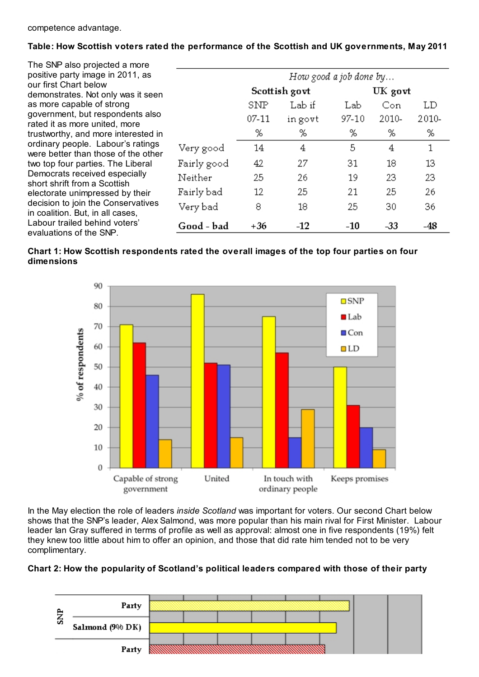## **Table: How Scottish voters rated the performance of the Scottish and UK governments, May 2011**

| The SNP also projected a more                                                                                                                                                                                                                                                               |             |                        |         |         |       |       |  |
|---------------------------------------------------------------------------------------------------------------------------------------------------------------------------------------------------------------------------------------------------------------------------------------------|-------------|------------------------|---------|---------|-------|-------|--|
| positive party image in 2011, as                                                                                                                                                                                                                                                            |             | How good a job done by |         |         |       |       |  |
| our first Chart below<br>demonstrates. Not only was it seen                                                                                                                                                                                                                                 |             | Scottish govt          |         | UK govt |       |       |  |
| as more capable of strong                                                                                                                                                                                                                                                                   |             | SNP                    | Lab if  | Lab     | Con   | LD    |  |
| government, but respondents also<br>rated it as more united, more                                                                                                                                                                                                                           |             | $07 - 11$              | in govt | 97-10   | 2010- | 2010- |  |
| trustworthy, and more interested in                                                                                                                                                                                                                                                         |             | %                      | %       | %       | %     | %     |  |
| ordinary people. Labour's ratings<br>were better than those of the other<br>two top four parties. The Liberal<br>Democrats received especially<br>short shrift from a Scottish<br>electorate unimpressed by their<br>decision to join the Conservatives<br>in coalition. But, in all cases, | Very good   | 14                     | 4       | 5       | 4     | 1     |  |
|                                                                                                                                                                                                                                                                                             | Fairly good | 42                     | 27      | 31      | 18    | 13    |  |
|                                                                                                                                                                                                                                                                                             | Neither     | 25                     | 26      | 19      | 23    | 23    |  |
|                                                                                                                                                                                                                                                                                             | Fairly bad  | 12                     | 25      | 21      | 25    | 26    |  |
|                                                                                                                                                                                                                                                                                             | Very bad-   | 8                      | 18      | 25      | 30    | 36    |  |
| Labour trailed behind voters'<br>evaluations of the SNP.                                                                                                                                                                                                                                    | Good - bad  | $+36$                  | $-12$   | $-10$   | $-33$ | $-48$ |  |
|                                                                                                                                                                                                                                                                                             |             |                        |         |         |       |       |  |





In the May election the role of leaders *inside Scotland* was important for voters. Our second Chart below shows that the SNP's leader, Alex Salmond, was more popular than his main rival for First Minister. Labour leader Ian Gray suffered in terms of profile as well as approval: almost one in five respondents (19%) felt they knew too little about him to offer an opinion, and those that did rate him tended not to be very complimentary.

## **Chart 2: How the popularity of Scotland's political leaders compared with those of their party**